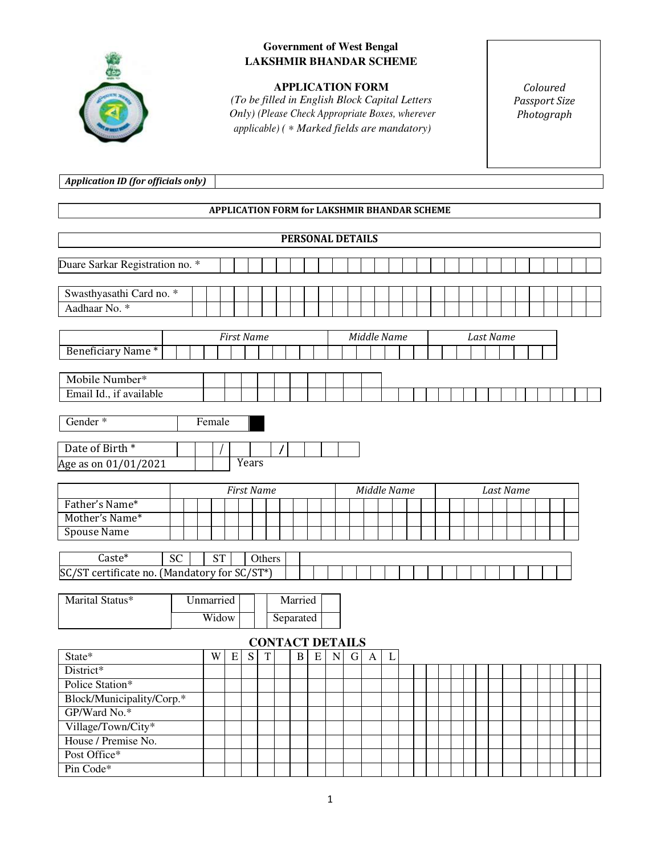

## **LAKSHMIR BHANDAR SCHEME Government of West Bengal**

*(To be filled in English Block Capital Letters Only) (Please Check Appropriate Boxes, wherever applicable) Check (* <sup>∗</sup> *Marked fields are mandatory)*  **APPLICATION FORM** 

*Coloured Passport Size Photograph* 

*Application ID (for officials only)*

## **APPLICATION FOR FORM for LAKSHMIR BHANDAR SCHEME**

|                                                                                                                                             |           |           |                   |  |           |        |  |           |  | <b>PERSONAL DETAILS</b> |             |  |  |                  |  |  |  |  |  |  |  |  |  |  |  |
|---------------------------------------------------------------------------------------------------------------------------------------------|-----------|-----------|-------------------|--|-----------|--------|--|-----------|--|-------------------------|-------------|--|--|------------------|--|--|--|--|--|--|--|--|--|--|--|
| Duare Sarkar Registration no. *                                                                                                             |           |           |                   |  |           |        |  |           |  |                         |             |  |  |                  |  |  |  |  |  |  |  |  |  |  |  |
|                                                                                                                                             |           |           |                   |  |           |        |  |           |  |                         |             |  |  |                  |  |  |  |  |  |  |  |  |  |  |  |
| Swasthyasathi Card no. *                                                                                                                    |           |           |                   |  |           |        |  |           |  |                         |             |  |  |                  |  |  |  |  |  |  |  |  |  |  |  |
| Aadhaar No. *                                                                                                                               |           |           |                   |  |           |        |  |           |  |                         |             |  |  |                  |  |  |  |  |  |  |  |  |  |  |  |
|                                                                                                                                             |           |           |                   |  |           |        |  |           |  |                         |             |  |  |                  |  |  |  |  |  |  |  |  |  |  |  |
|                                                                                                                                             |           |           | <b>First Name</b> |  |           |        |  |           |  |                         | Middle Name |  |  | <b>Last Name</b> |  |  |  |  |  |  |  |  |  |  |  |
| Beneficiary Name*                                                                                                                           |           |           |                   |  |           |        |  |           |  |                         |             |  |  |                  |  |  |  |  |  |  |  |  |  |  |  |
| Mobile Number*                                                                                                                              |           |           |                   |  |           |        |  |           |  |                         |             |  |  |                  |  |  |  |  |  |  |  |  |  |  |  |
| Email Id., if available                                                                                                                     |           |           |                   |  |           |        |  |           |  |                         |             |  |  |                  |  |  |  |  |  |  |  |  |  |  |  |
|                                                                                                                                             |           |           |                   |  |           |        |  |           |  |                         |             |  |  |                  |  |  |  |  |  |  |  |  |  |  |  |
| Gender <sup>*</sup>                                                                                                                         |           |           | Female            |  |           |        |  |           |  |                         |             |  |  |                  |  |  |  |  |  |  |  |  |  |  |  |
|                                                                                                                                             |           |           |                   |  |           |        |  |           |  |                         |             |  |  |                  |  |  |  |  |  |  |  |  |  |  |  |
| Date of Birth <sup>*</sup>                                                                                                                  |           |           |                   |  |           |        |  |           |  |                         |             |  |  |                  |  |  |  |  |  |  |  |  |  |  |  |
| Age as on 01/01/2021                                                                                                                        |           |           |                   |  | Years     |        |  |           |  |                         |             |  |  |                  |  |  |  |  |  |  |  |  |  |  |  |
|                                                                                                                                             |           |           | Middle Name       |  | Last Name |        |  |           |  |                         |             |  |  |                  |  |  |  |  |  |  |  |  |  |  |  |
| Father's Name*                                                                                                                              |           |           |                   |  |           |        |  |           |  |                         |             |  |  |                  |  |  |  |  |  |  |  |  |  |  |  |
| Mother's Name*                                                                                                                              |           |           |                   |  |           |        |  |           |  |                         |             |  |  |                  |  |  |  |  |  |  |  |  |  |  |  |
| <b>Spouse Name</b>                                                                                                                          |           |           |                   |  |           |        |  |           |  |                         |             |  |  |                  |  |  |  |  |  |  |  |  |  |  |  |
| Caste*                                                                                                                                      | <b>SC</b> |           | <b>ST</b>         |  |           | Others |  |           |  |                         |             |  |  |                  |  |  |  |  |  |  |  |  |  |  |  |
| SC/ST certificate no. (Mandatory for SC/ST*)                                                                                                |           |           |                   |  |           |        |  |           |  |                         |             |  |  |                  |  |  |  |  |  |  |  |  |  |  |  |
|                                                                                                                                             |           |           |                   |  |           |        |  |           |  |                         |             |  |  |                  |  |  |  |  |  |  |  |  |  |  |  |
| Marital Status*                                                                                                                             |           | Unmarried |                   |  |           |        |  | Married   |  |                         |             |  |  |                  |  |  |  |  |  |  |  |  |  |  |  |
|                                                                                                                                             |           |           | Widow             |  |           |        |  | Separated |  |                         |             |  |  |                  |  |  |  |  |  |  |  |  |  |  |  |
|                                                                                                                                             |           |           |                   |  |           |        |  |           |  |                         |             |  |  |                  |  |  |  |  |  |  |  |  |  |  |  |
| <b>CONTACT DETAILS</b><br>State*<br>${\bf E}$<br>S<br>W<br>$\mathbf T$<br>$\, {\bf B}$<br>$\mathbf E$<br>${\bf N}$<br>$\mathbf L$<br>G<br>A |           |           |                   |  |           |        |  |           |  |                         |             |  |  |                  |  |  |  |  |  |  |  |  |  |  |  |
| District*                                                                                                                                   |           |           |                   |  |           |        |  |           |  |                         |             |  |  |                  |  |  |  |  |  |  |  |  |  |  |  |
| Police Station*                                                                                                                             |           |           |                   |  |           |        |  |           |  |                         |             |  |  |                  |  |  |  |  |  |  |  |  |  |  |  |
| Block/Municipality/Corp.*                                                                                                                   |           |           |                   |  |           |        |  |           |  |                         |             |  |  |                  |  |  |  |  |  |  |  |  |  |  |  |
| GP/Ward No.*                                                                                                                                |           |           |                   |  |           |        |  |           |  |                         |             |  |  |                  |  |  |  |  |  |  |  |  |  |  |  |
| Village/Town/City*                                                                                                                          |           |           |                   |  |           |        |  |           |  |                         |             |  |  |                  |  |  |  |  |  |  |  |  |  |  |  |
| House / Premise No.                                                                                                                         |           |           |                   |  |           |        |  |           |  |                         |             |  |  |                  |  |  |  |  |  |  |  |  |  |  |  |
| Post Office*                                                                                                                                |           |           |                   |  |           |        |  |           |  |                         |             |  |  |                  |  |  |  |  |  |  |  |  |  |  |  |
| Pin Code*                                                                                                                                   |           |           |                   |  |           |        |  |           |  |                         |             |  |  |                  |  |  |  |  |  |  |  |  |  |  |  |